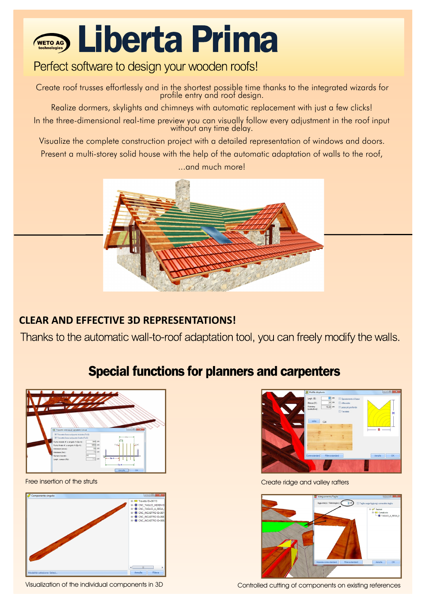## **ETOAGO Liberta Prima**

#### Perfect software to design your wooden roofs!

Create roof trusses effortlessly and in the shortest possible time thanks to the integrated wizards for profile entry and roof design.

Realize dormers, skylights and chimneys with automatic replacement with just a few clicks! In the three-dimensional real-time preview you can visually follow every adjustment in the roof input without any time delay.

Visualize the complete construction project with a detailed representation of windows and doors.

Present a multi-storey solid house with the help of the automatic adaptation of walls to the roof, ...and much more!



#### **CLEAR AND EFFECTIVE 3D REPRESENTATIONS!**

Thanks to the automatic wall-to-roof adaptation tool, you can freely modify the walls.

### **Special functions for planners and carpenters**



Free insertion of the struts





Create ridge and valley rafters



Visualization of the individual components in 3D Controlled cutting of components on existing references